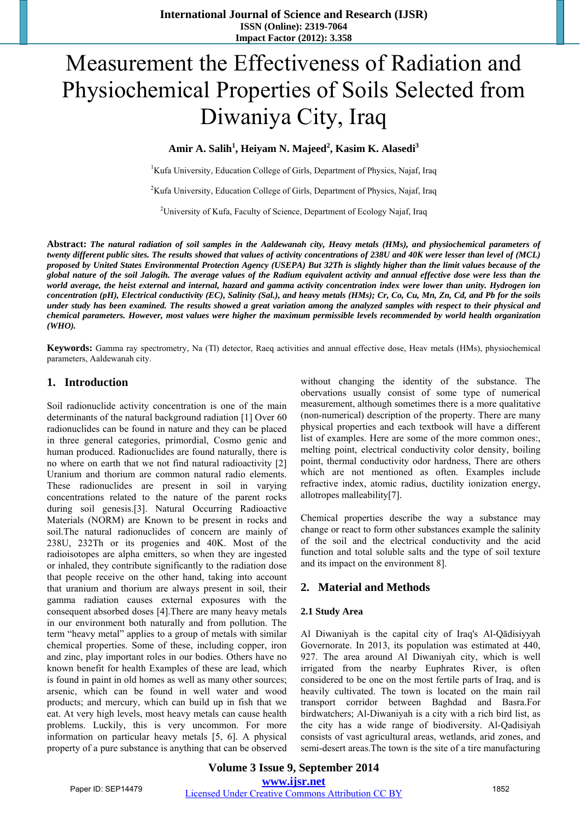# Measurement the Effectiveness of Radiation and Physiochemical Properties of Soils Selected from Diwaniya City, Iraq

Amir A. Salih<sup>1</sup>, Heiyam N. Majeed<sup>2</sup>, Kasim K. Alasedi<sup>3</sup>

<sup>1</sup>Kufa University, Education College of Girls, Department of Physics, Najaf, Iraq

<sup>2</sup>Kufa University, Education College of Girls, Department of Physics, Najaf, Iraq

<sup>2</sup>University of Kufa, Faculty of Science, Department of Ecology Najaf, Iraq

**Abstract:** *The natural radiation of soil samples in the Aaldewanah city, Heavy metals (HMs), and physiochemical parameters of twenty different public sites. The results showed that values of activity concentrations of 238U and 40K were lesser than level of (MCL) proposed by United States Environmental Protection Agency (USEPA) But 32Th is slightly higher than the limit values because of the global nature of the soil Jalogih. The average values of the Radium equivalent activity and annual effective dose were less than the world average, the heist external and internal, hazard and gamma activity concentration index were lower than unity. Hydrogen ion concentration (pH), Electrical conductivity (EC), Salinity (Sal.), and heavy metals (HMs); Cr, Co, Cu, Mn, Zn, Cd, and Pb for the soils under study has been examined. The results showed a great variation among the analyzed samples with respect to their physical and chemical parameters. However, most values were higher the maximum permissible levels recommended by world health organization (WHO).* 

**Keywords:** Gamma ray spectrometry, Na (Tl) detector, Raeq activities and annual effective dose, Heav metals (HMs), physiochemical parameters, Aaldewanah city.

## **1. Introduction**

Soil radionuclide activity concentration is one of the main determinants of the natural background radiation [1] Over 60 radionuclides can be found in nature and they can be placed in three general categories, primordial, Cosmo genic and human produced. Radionuclides are found naturally, there is no where on earth that we not find natural radioactivity [2] Uranium and thorium are common natural radio elements. These radionuclides are present in soil in varying concentrations related to the nature of the parent rocks during soil genesis.[3]. Natural Occurring Radioactive Materials (NORM) are Known to be present in rocks and soil.The natural radionuclides of concern are mainly of 238U, 232Th or its progenies and 40K. Most of the radioisotopes are alpha emitters, so when they are ingested or inhaled, they contribute significantly to the radiation dose that people receive on the other hand, taking into account that uranium and thorium are always present in soil, their gamma radiation causes external exposures with the consequent absorbed doses [4].There are many heavy metals in our environment both naturally and from pollution. The term "heavy metal" applies to a group of metals with similar chemical properties. Some of these, including copper, iron and zinc, play important roles in our bodies. Others have no known benefit for health Examples of these are lead, which is found in paint in old homes as well as many other sources; arsenic, which can be found in well water and wood products; and mercury, which can build up in fish that we eat. At very high levels, most heavy metals can cause health problems. Luckily, this is very uncommon. For more information on particular heavy metals [5, 6]. A physical property of a pure substance is anything that can be observed without changing the identity of the substance. The obervations usually consist of some type of numerical measurement, although sometimes there is a more qualitative (non-numerical) description of the property. There are many physical properties and each textbook will have a different list of examples. Here are some of the more common ones:, melting point, electrical conductivity color density, boiling point, thermal conductivity odor hardness, There are others which are not mentioned as often. Examples include refractive index, atomic radius, ductility ionization energy, allotropes malleability[7].

Chemical properties describe the way a substance may change or react to form other substances example the salinity of the soil and the electrical conductivity and the acid function and total soluble salts and the type of soil texture and its impact on the environment 8].

## **2. Material and Methods**

### **2.1 Study Area**

Al Diwaniyah is the capital city of Iraq's Al-Qādisiyyah Governorate. In 2013, its population was estimated at 440, 927. The area around Al Diwaniyah city, which is well irrigated from the nearby Euphrates River, is often considered to be one on the most fertile parts of Iraq, and is heavily cultivated. The town is located on the main rail transport corridor between Baghdad and Basra.For birdwatchers; Al-Diwaniyah is a city with a rich bird list, as the city has a wide range of biodiversity. Al-Qadisiyah consists of vast agricultural areas, wetlands, arid zones, and semi-desert areas.The town is the site of a tire manufacturing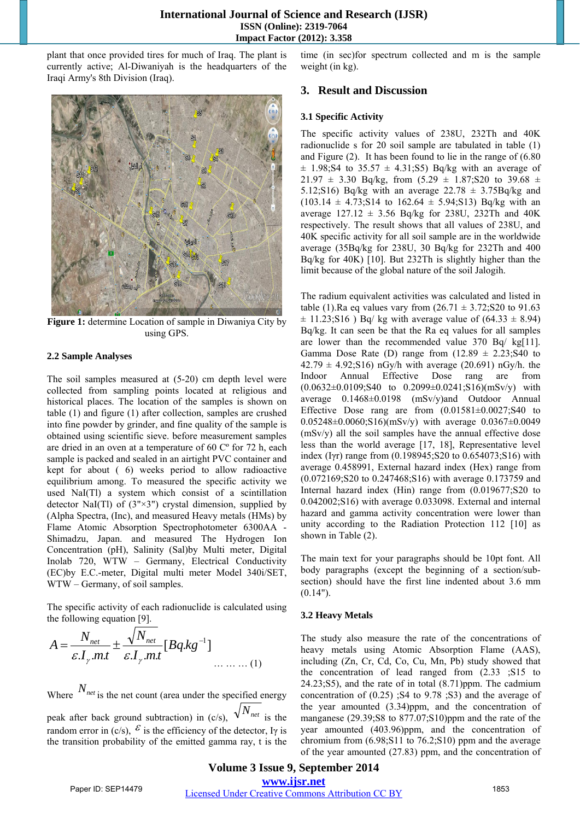plant that once provided tires for much of Iraq. The plant is currently active; Al-Diwaniyah is the headquarters of the Iraqi Army's 8th Division (Iraq).



**Figure 1:** determine Location of sample in Diwaniya City by using GPS.

#### **2.2 Sample Analyses**

The soil samples measured at (5-20) cm depth level were collected from sampling points located at religious and historical places. The location of the samples is shown on table (1) and figure (1) after collection, samples are crushed into fine powder by grinder, and fine quality of the sample is obtained using scientific sieve. before measurement samples are dried in an oven at a temperature of 60 Cº for 72 h, each sample is packed and sealed in an airtight PVC container and kept for about ( 6) weeks period to allow radioactive equilibrium among. To measured the specific activity we used NaI(Tl) a system which consist of a scintillation detector NaI(Tl) of  $(3" \times 3")$  crystal dimension, supplied by (Alpha Spectra, (Inc), and measured Heavy metals (HMs) by Flame Atomic Absorption Spectrophotometer 6300AA - Shimadzu, Japan. and measured The Hydrogen Ion Concentration (pH), Salinity (Sal)by Multi meter, Digital Inolab 720, WTW – Germany, Electrical Conductivity (EC)by E.C.-meter, Digital multi meter Model 340i/SET, WTW – Germany, of soil samples.

The specific activity of each radionuclide is calculated using the following equation [9].

$$
A = \frac{N_{net}}{\varepsilon.I_{\gamma}.mt} \pm \frac{\sqrt{N_{net}}}{\varepsilon.I_{\gamma}.mt} [Bq.kg^{-1}]
$$

Where  $N_{net}$  is the net count (area under the specified energy peak after back ground subtraction) in (c/s),  $\sqrt{N_{net}}$  is the random error in (c/s),  $\mathcal{E}$  is the efficiency of the detector, Iy is the transition probability of the emitted gamma ray, t is the time (in sec)for spectrum collected and m is the sample weight (in kg).

## **3. Result and Discussion**

#### **3.1 Specific Activity**

The specific activity values of 238U, 232Th and 40K radionuclide s for 20 soil sample are tabulated in table (1) and Figure (2). It has been found to lie in the range of (6.80  $\pm$  1.98;S4 to 35.57  $\pm$  4.31;S5) Bq/kg with an average of  $21.97 \pm 3.30$  Bq/kg, from  $(5.29 \pm 1.87)$ ; S20 to 39.68  $\pm$ 5.12;S16) Bq/kg with an average  $22.78 \pm 3.75Bq/kg$  and  $(103.14 \pm 4.73)$ ; S14 to  $162.64 \pm 5.94$ ; S13) Bq/kg with an average  $127.12 \pm 3.56$  Bq/kg for 238U, 232Th and 40K respectively. The result shows that all values of 238U, and 40K specific activity for all soil sample are in the worldwide average (35Bq/kg for 238U, 30 Bq/kg for 232Th and 400 Bq/kg for 40K) [10]. But 232Th is slightly higher than the limit because of the global nature of the soil Jalogih.

The radium equivalent activities was calculated and listed in table (1). Ra eq values vary from  $(26.71 \pm 3.72)$ ; S20 to 91.63  $\pm$  11.23;S16 ) Bq/ kg with average value of (64.33  $\pm$  8.94) Bq/kg. It can seen be that the Ra eq values for all samples are lower than the recommended value 370 Bq/ kg[11]. Gamma Dose Rate (D) range from  $(12.89 \pm 2.23)$ ; S40 to  $42.79 \pm 4.92$ ; S16) nGy/h with average (20.691) nGy/h. the Indoor Annual Effective Dose rang are from  $(0.0632\pm0.0109)$ ;S40 to  $0.2099\pm0.0241$ ;S16)(mSv/y) with average 0.1468±0.0198 (mSv/y)and Outdoor Annual Effective Dose rang are from  $(0.01581\pm0.0027)$ ; S40 to 0.05248±0.0060;S16)(mSv/y) with average 0.0367±0.0049 (mSv/y) all the soil samples have the annual effective dose less than the world average [17, 18], Representative level index (Iγr) range from (0.198945;S20 to 0.654073;S16) with average 0.458991, External hazard index (Hex) range from (0.072169;S20 to 0.247468;S16) with average 0.173759 and Internal hazard index (Hin) range from (0.019677;S20 to 0.042002;S16) with average 0.033098. External and internal hazard and gamma activity concentration were lower than unity according to the Radiation Protection 112 [10] as shown in Table (2).

The main text for your paragraphs should be 10pt font. All body paragraphs (except the beginning of a section/subsection) should have the first line indented about 3.6 mm  $(0.14")$ .

#### **3.2 Heavy Metals**

The study also measure the rate of the concentrations of heavy metals using Atomic Absorption Flame (AAS), including (Zn, Cr, Cd, Co, Cu, Mn, Pb) study showed that the concentration of lead ranged from (2.33 ;S15 to 24.23;S5), and the rate of in total (8.71)ppm. The cadmium concentration of (0.25) ;S4 to 9.78 ;S3) and the average of the year amounted (3.34)ppm, and the concentration of manganese (29.39;S8 to 877.07;S10)ppm and the rate of the year amounted (403.96)ppm, and the concentration of chromium from  $(6.98;S11)$  to  $76.2;S10$  ppm and the average of the year amounted (27.83) ppm, and the concentration of

# **Volume 3 Issue 9, September 2014**

**www.ijsr.net**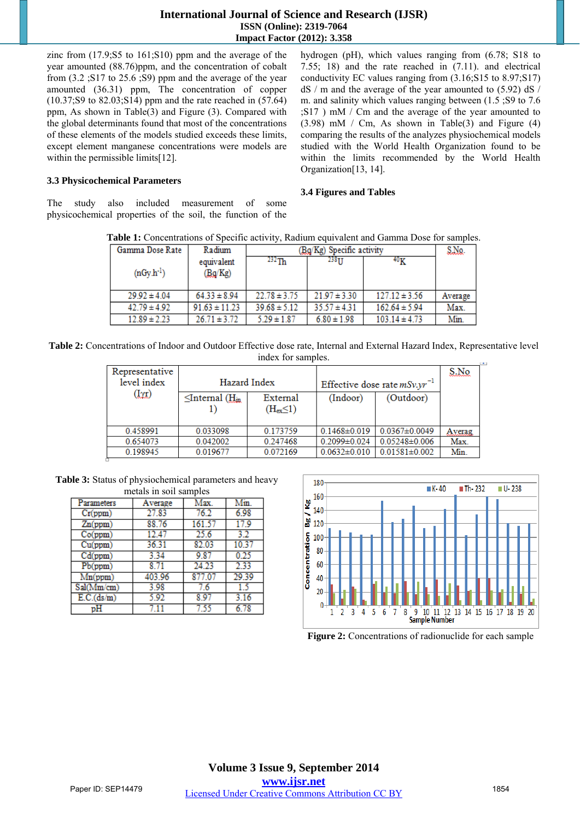## **International Journal of Science and Research (IJSR) ISSN (Online): 2319-7064 Impact Factor (2012): 3.358**

zinc from (17.9;S5 to 161;S10) ppm and the average of the year amounted (88.76)ppm, and the concentration of cobalt from (3.2 ;S17 to 25.6 ;S9) ppm and the average of the year amounted (36.31) ppm, The concentration of copper (10.37;S9 to 82.03;S14) ppm and the rate reached in (57.64) ppm, As shown in Table(3) and Figure (3). Compared with the global determinants found that most of the concentrations of these elements of the models studied exceeds these limits, except element manganese concentrations were models are within the permissible limits[12].

hydrogen (pH), which values ranging from (6.78; S18 to 7.55; 18) and the rate reached in (7.11). and electrical conductivity EC values ranging from (3.16;S15 to 8.97;S17) dS / m and the average of the year amounted to (5.92) dS / m. and salinity which values ranging between (1.5 ;S9 to 7.6 ;S17 ) mM / Cm and the average of the year amounted to  $(3.98)$  mM / Cm, As shown in Table(3) and Figure (4) comparing the results of the analyzes physiochemical models studied with the World Health Organization found to be within the limits recommended by the World Health Organization[13, 14].

# **3.3 Physicochemical Parameters**

The study also included measurement of some physicochemical properties of the soil, the function of the

#### **3.4 Figures and Tables**

**Table 1:** Concentrations of Specific activity, Radium equivalent and Gamma Dose for samples.

| Gamma Dose Rate  | Radium                | (Bg/Kg) Specific activity |                  |                   | S.No.   |
|------------------|-----------------------|---------------------------|------------------|-------------------|---------|
| $(nGy.h^{-1})$   | equivalent<br>(Bg/Kg) | $^{232}$ Th               | 23811            | 40 <sub>K</sub>   |         |
| $29.92 \pm 4.04$ | $64.33 \pm 8.94$      | $22.78 \pm 3.75$          | $21.97 \pm 3.30$ | $127.12 \pm 3.56$ | Average |
| $42.79 \pm 4.92$ | $91.63 \pm 11.23$     | $39.68 \pm 5.12$          | $35.57 \pm 4.31$ | $162.64 \pm 5.94$ | Max.    |
| $12.89 \pm 2.23$ | $26.71 \pm 3.72$      | $5.29 \pm 1.87$           | $6.80 \pm 1.98$  | $103.14 \pm 4.73$ | Min.    |

Table 2: Concentrations of Indoor and Outdoor Effective dose rate, Internal and External Hazard Index, Representative level index for samples.

| Representative<br>level index | Hazard Index                    |                               | Effective dose rate $mSv.yr^{-1}$ |                     | S.No   |
|-------------------------------|---------------------------------|-------------------------------|-----------------------------------|---------------------|--------|
| $(I\gamma r)$                 | $\leq$ Internal ( $\rm{H}_{in}$ | External<br>$(H_{ex} \leq 1)$ | (Indoor)                          | (Outdoor)           |        |
| 0.458991                      | 0.033098                        | 0.173759                      | $0.1468 \pm 0.019$                | $0.0367 \pm 0.0049$ | Averag |
| 0.654073                      | 0.042002                        | 0.247468                      | $0.2099 \pm 0.024$                | $0.05248 \pm 0.006$ | Max.   |
| 0.198945                      | 0.019677                        | 0.072169                      | $0.0632 \pm 0.010$                | $0.01581 \pm 0.002$ | Min.   |

**Table 3:** Status of physiochemical parameters and heavy metals in soil samples

| Parameters | Average | Max.   | Min.  |
|------------|---------|--------|-------|
| Cr(ppm)    | 27.83   | 76.2   | 6.98  |
| Zn(ppm)    | 88.76   | 161.57 | 17.9  |
| Co(ppm)    | 12.47   | 25.6   | 32    |
| Cu(ppm)    | 36.31   | 82.03  | 10.37 |
| Cd(ppm)    | 3.34    | 9.87   | 0.25  |
| Pb(ppm)    | 8.71    | 24.23  | 2.33  |
| Mn(ppm)    | 403.96  | 877.07 | 29.39 |
| Sal(Mm/cm) | 3.98    | 7.6    | 1.5   |
| E.C.(ds/m) | 5.92    | 8 97   | 3.16  |
|            |         | 7.55   | -78   |



**Figure 2:** Concentrations of radionuclide for each sample